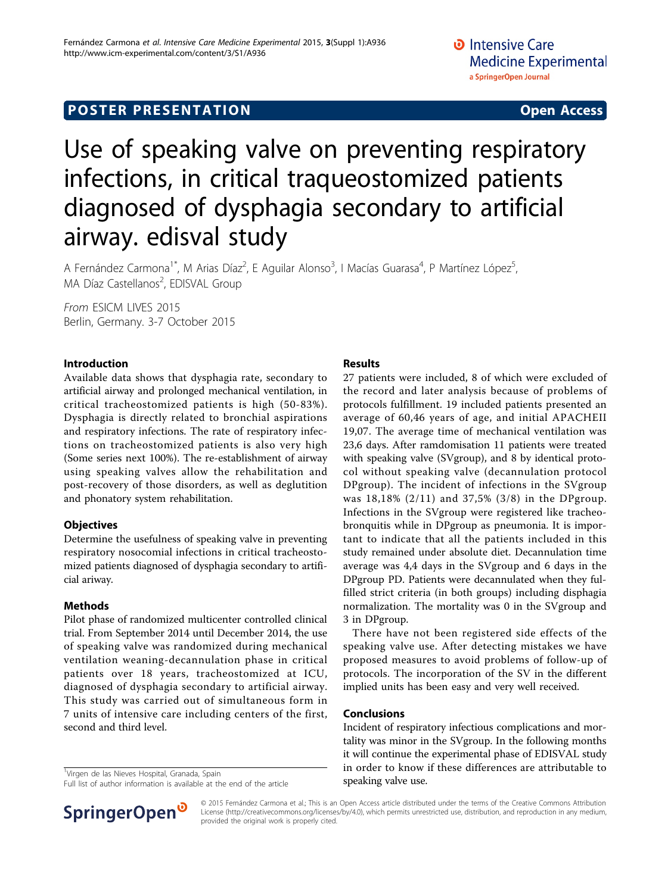# **POSTER PRESENTATION CONSUMING THE SERVICE SERVICE SERVICES**

# Use of speaking valve on preventing respiratory infections, in critical traqueostomized patients diagnosed of dysphagia secondary to artificial airway. edisval study

A Fernández Carmona<sup>1\*</sup>, M Arias Díaz<sup>2</sup>, E Aguilar Alonso<sup>3</sup>, I Macías Guarasa<sup>4</sup>, P Martínez López<sup>5</sup> , MA Díaz Castellanos<sup>2</sup>, EDISVAL Group

From ESICM LIVES 2015 Berlin, Germany. 3-7 October 2015

#### Introduction

Available data shows that dysphagia rate, secondary to artificial airway and prolonged mechanical ventilation, in critical tracheostomized patients is high (50-83%). Dysphagia is directly related to bronchial aspirations and respiratory infections. The rate of respiratory infections on tracheostomized patients is also very high (Some series next 100%). The re-establishment of airway using speaking valves allow the rehabilitation and post-recovery of those disorders, as well as deglutition and phonatory system rehabilitation.

## **Objectives**

Determine the usefulness of speaking valve in preventing respiratory nosocomial infections in critical tracheostomized patients diagnosed of dysphagia secondary to artificial ariway.

## Methods

Pilot phase of randomized multicenter controlled clinical trial. From September 2014 until December 2014, the use of speaking valve was randomized during mechanical ventilation weaning-decannulation phase in critical patients over 18 years, tracheostomized at ICU, diagnosed of dysphagia secondary to artificial airway. This study was carried out of simultaneous form in 7 units of intensive care including centers of the first, second and third level.

<sup>1</sup>Virgen de las Nieves Hospital, Granada, Spain

Full list of author information is available at the end of the article



#### Results

27 patients were included, 8 of which were excluded of the record and later analysis because of problems of protocols fulfillment. 19 included patients presented an average of 60,46 years of age, and initial APACHEII 19,07. The average time of mechanical ventilation was 23,6 days. After ramdomisation 11 patients were treated with speaking valve (SVgroup), and 8 by identical protocol without speaking valve (decannulation protocol DPgroup). The incident of infections in the SVgroup was 18,18% (2/11) and 37,5% (3/8) in the DPgroup. Infections in the SVgroup were registered like tracheobronquitis while in DPgroup as pneumonia. It is important to indicate that all the patients included in this study remained under absolute diet. Decannulation time average was 4,4 days in the SVgroup and 6 days in the DPgroup PD. Patients were decannulated when they fulfilled strict criteria (in both groups) including disphagia normalization. The mortality was 0 in the SVgroup and 3 in DPgroup.

There have not been registered side effects of the speaking valve use. After detecting mistakes we have proposed measures to avoid problems of follow-up of protocols. The incorporation of the SV in the different implied units has been easy and very well received.

#### Conclusions

Incident of respiratory infectious complications and mortality was minor in the SVgroup. In the following months it will continue the experimental phase of EDISVAL study in order to know if these differences are attributable to speaking valve use.

© 2015 Fernández Carmona et al.; This is an Open Access article distributed under the terms of the Creative Commons Attribution License [\(http://creativecommons.org/licenses/by/4.0](http://creativecommons.org/licenses/by/4.0)), which permits unrestricted use, distribution, and reproduction in any medium, provided the original work is properly cited.